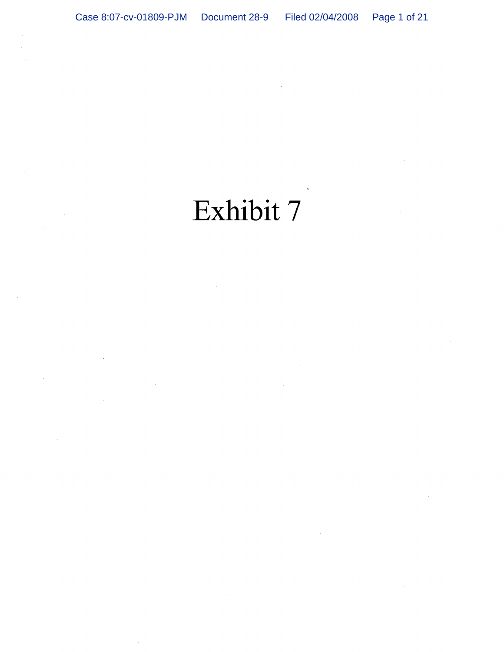# Exhibit 7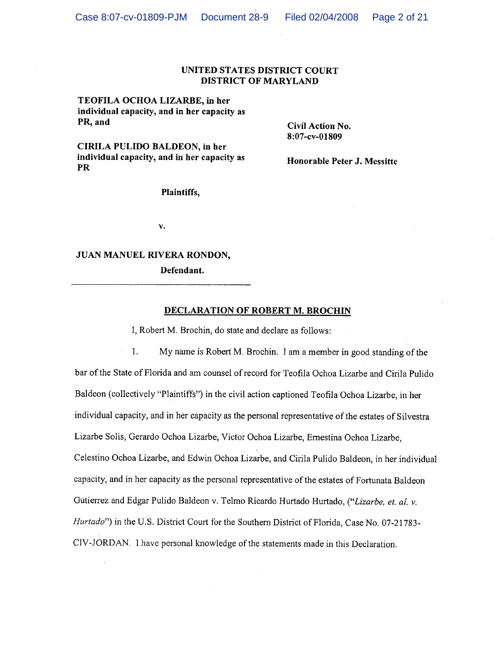## UNITED STATES DISTRICT COURT DISTRICT OF MARYLAND

TEOFILA OCHOA LIZARBE, in her individual capacity, and in her capacity as PR, and

Civil Action No. 8:07-cv-01809

CIRILA PULIDO BALDEON, in her individual capacity, and in her capacity as **PR** 

Honorable Peter J. Messitte

Plaintiffs,

γ.

## JUAN MANUEL RIVERA RONDON,

Defendant.

## DECLARATION OF ROBERT M. BROCHIN

I, Robert M. Brochin, do state and declare as follows:

My name is Robert M. Brochin. I am a member in good standing of the 1. bar of the State of Florida and am counsel of record for Teofila Ochoa Lizarbe and Cirila Pulido Baldeon (collectively "Plaintiffs") in the civil action captioned Teofila Ochoa Lizarbe, in her individual capacity, and in her capacity as the personal representative of the estates of Silvestra Lizarbe Solis, Gerardo Ochoa Lizarbe, Victor Ochoa Lizarbe, Ernestina Ochoa Lizarbe, Celestino Ochoa Lizarbe, and Edwin Ochoa Lizarbe, and Cirila Pulido Baldeon, in her individual capacity, and in her capacity as the personal representative of the estates of Fortunata Baldeon Gutierrez and Edgar Pulido Baldeon v. Telmo Ricardo Hurtado Hurtado, ("Lizarbe, et. al. v. Hurtado") in the U.S. District Court for the Southern District of Florida, Case No. 07-21783-CIV-JORDAN. I have personal knowledge of the statements made in this Declaration.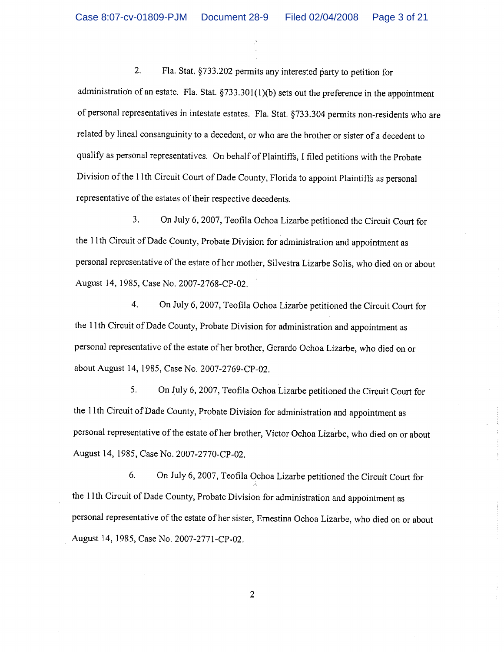$2.$ Fla. Stat. §733.202 permits any interested party to petition for administration of an estate. Fla. Stat. §733.301(1)(b) sets out the preference in the appointment of personal representatives in intestate estates. Fla. Stat. §733.304 permits non-residents who are related by lineal consanguinity to a decedent, or who are the brother or sister of a decedent to qualify as personal representatives. On behalf of Plaintiffs, I filed petitions with the Probate Division of the 11th Circuit Court of Dade County, Florida to appoint Plaintiffs as personal representative of the estates of their respective decedents.

 $3<sub>1</sub>$ On July 6, 2007, Teofila Ochoa Lizarbe petitioned the Circuit Court for the 11th Circuit of Dade County, Probate Division for administration and appointment as personal representative of the estate of her mother, Silvestra Lizarbe Solis, who died on or about August 14, 1985, Case No. 2007-2768-CP-02.

4. On July 6, 2007, Teofila Ochoa Lizarbe petitioned the Circuit Court for the 11th Circuit of Dade County, Probate Division for administration and appointment as personal representative of the estate of her brother, Gerardo Ochoa Lizarbe, who died on or about August 14, 1985, Case No. 2007-2769-CP-02.

5. On July 6, 2007, Teofila Ochoa Lizarbe petitioned the Circuit Court for the 11th Circuit of Dade County, Probate Division for administration and appointment as personal representative of the estate of her brother, Victor Ochoa Lizarbe, who died on or about August 14, 1985, Case No. 2007-2770-CP-02.

6. On July 6, 2007, Teofila Ochoa Lizarbe petitioned the Circuit Court for the 11th Circuit of Dade County, Probate Division for administration and appointment as personal representative of the estate of her sister, Ernestina Ochoa Lizarbe, who died on or about August 14, 1985, Case No. 2007-2771-CP-02.

 $\overline{2}$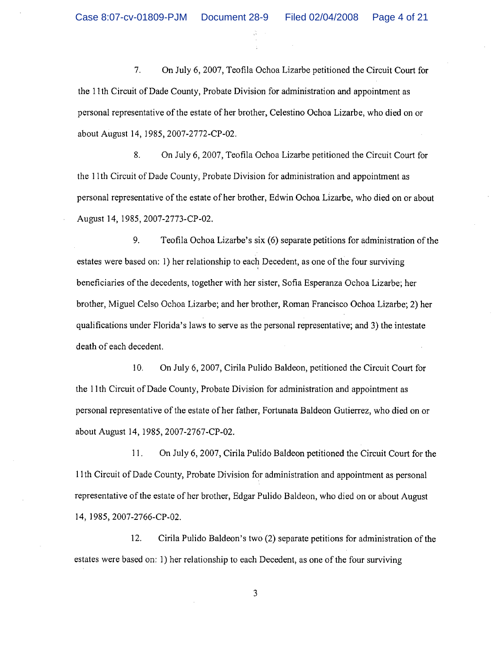$7.$ On July 6, 2007, Teofila Ochoa Lizarbe petitioned the Circuit Court for the 11th Circuit of Dade County, Probate Division for administration and appointment as personal representative of the estate of her brother, Celestino Ochoa Lizarbe, who died on or about August 14, 1985, 2007-2772-CP-02.

8. On July 6, 2007, Teofila Ochoa Lizarbe petitioned the Circuit Court for the 11th Circuit of Dade County, Probate Division for administration and appointment as personal representative of the estate of her brother, Edwin Ochoa Lizarbe, who died on or about August 14, 1985, 2007-2773-CP-02.

9. Teofila Ochoa Lizarbe's six (6) separate petitions for administration of the estates were based on: 1) her relationship to each Decedent, as one of the four surviving beneficiaries of the decedents, together with her sister, Sofia Esperanza Ochoa Lizarbe; her brother, Miguel Celso Ochoa Lizarbe; and her brother, Roman Francisco Ochoa Lizarbe; 2) her qualifications under Florida's laws to serve as the personal representative; and 3) the intestate death of each decedent.

10. On July 6, 2007, Cirila Pulido Baldeon, petitioned the Circuit Court for the 11th Circuit of Dade County, Probate Division for administration and appointment as personal representative of the estate of her father, Fortunata Baldeon Gutierrez, who died on or about August 14, 1985, 2007-2767-CP-02.

On July 6, 2007, Cirila Pulido Baldeon petitioned the Circuit Court for the  $11.$ 11th Circuit of Dade County, Probate Division for administration and appointment as personal representative of the estate of her brother, Edgar Pulido Baldeon, who died on or about August 14, 1985, 2007-2766-CP-02.

12. Cirila Pulido Baldeon's two (2) separate petitions for administration of the estates were based on: 1) her relationship to each Decedent, as one of the four surviving

3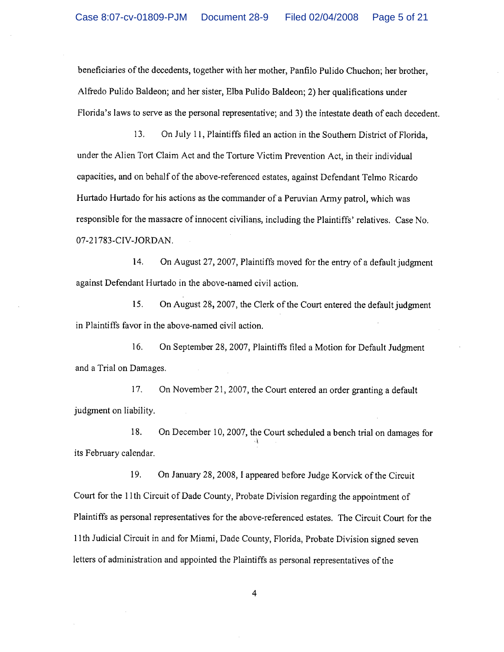beneficiaries of the decedents, together with her mother, Panfilo Pulido Chuchon; her brother, Alfredo Pulido Baldeon; and her sister, Elba Pulido Baldeon; 2) her qualifications under Florida's laws to serve as the personal representative; and 3) the intestate death of each decedent.

On July 11, Plaintiffs filed an action in the Southern District of Florida. 13. under the Alien Tort Claim Act and the Torture Victim Prevention Act, in their individual capacities, and on behalf of the above-referenced estates, against Defendant Telmo Ricardo Hurtado Hurtado for his actions as the commander of a Peruvian Army patrol, which was responsible for the massacre of innocent civilians, including the Plaintiffs' relatives. Case No. 07-21783-CIV-JORDAN.

On August 27, 2007, Plaintiffs moved for the entry of a default judgment 14. against Defendant Hurtado in the above-named civil action.

15. On August 28, 2007, the Clerk of the Court entered the default judgment in Plaintiffs favor in the above-named civil action.

 $16.$ On September 28, 2007, Plaintiffs filed a Motion for Default Judgment and a Trial on Damages.

17. On November 21, 2007, the Court entered an order granting a default judgment on liability.

18. On December 10, 2007, the Court scheduled a bench trial on damages for its February calendar.

On January 28, 2008, I appeared before Judge Korvick of the Circuit 19. Court for the 11th Circuit of Dade County, Probate Division regarding the appointment of Plaintiffs as personal representatives for the above-referenced estates. The Circuit Court for the 11th Judicial Circuit in and for Miami, Dade County, Florida, Probate Division signed seven letters of administration and appointed the Plaintiffs as personal representatives of the

 $\overline{4}$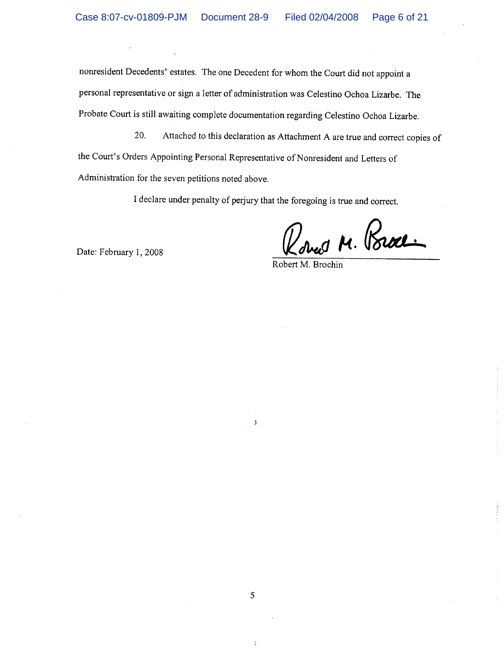nonresident Decedents' estates. The one Decedent for whom the Court did not appoint a personal representative or sign a letter of administration was Celestino Ochoa Lizarbe. The Probate Court is still awaiting complete documentation regarding Celestino Ochoa Lizarbe.

Attached to this declaration as Attachment A are true and correct copies of 20. the Court's Orders Appointing Personal Representative of Nonresident and Letters of Administration for the seven petitions noted above.

I declare under penalty of perjury that the foregoing is true and correct.

Roues M. Poroce

Date: February 1, 2008

Robert M. Brochin

ŷ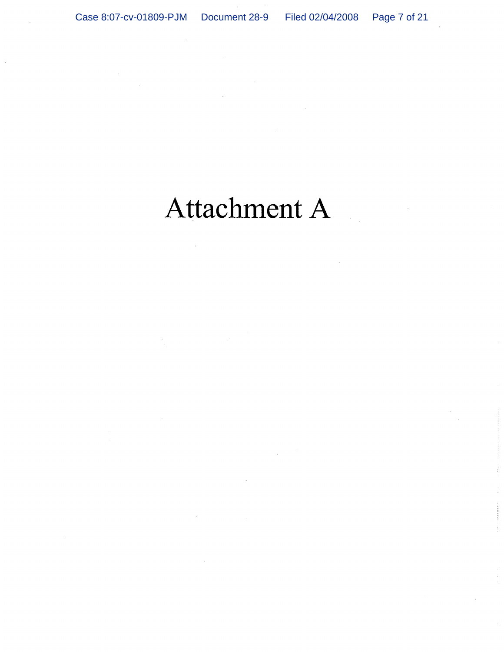# Attachment A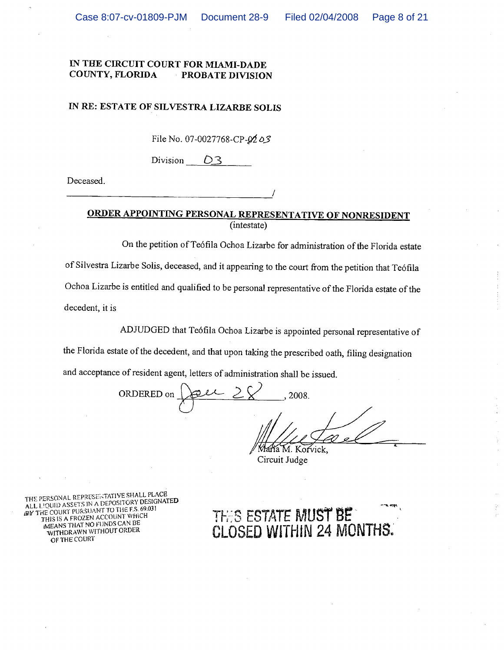## IN RE: ESTATE OF SILVESTRA LIZARBE SOLIS

File No. 07-0027768-CP- $9203$ 

Division  $D_3$ 

Deceased.

## ORDER APPOINTING PERSONAL REPRESENTATIVE OF NONRESIDENT (intestate)

On the petition of Teófila Ochoa Lizarbe for administration of the Florida estate of Silvestra Lizarbe Solis, deceased, and it appearing to the court from the petition that Teófila Ochoa Lizarbe is entitled and qualified to be personal representative of the Florida estate of the decedent, it is

ADJUDGED that Teófila Ochoa Lizarbe is appointed personal representative of

the Florida estate of the decedent, and that upon taking the prescribed oath, filing designation

and acceptance of resident agent, letters of administration shall be issued.

ORDERED on 2008.

María M. Korvick, Circuit Judge

THIS ESTATE MUST BE

CLOSED WITHIN 24 MONTHS.

THE PERSONAL REPRESENTATIVE SHALL PLACE ALL LIQUID ASSETS IN A DEPOSITORY DESIGNATED THE COURT PURSUANT TO THE F.S. 69.031 THIS IS A FROZEN ACCOUNT WHICH **IMEANS THAT NO FUNDS CAN BE** WITHDRAWN WITHOUT ORDER OF THE COURT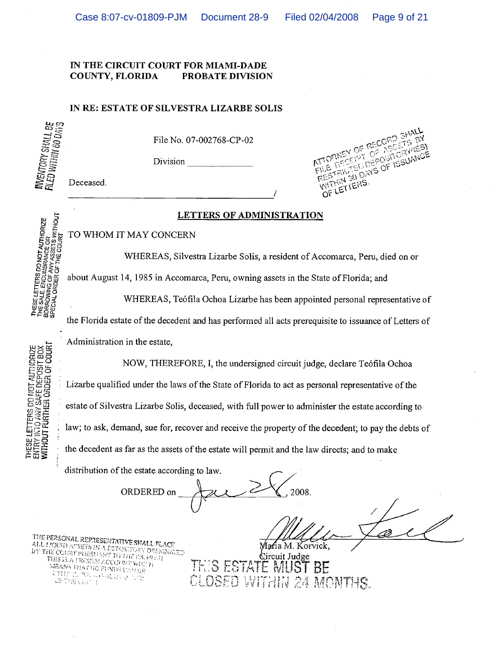#### IN RE: ESTATE OF SILVESTRA LIZARBE SOLIS

INVENTORY SHALL BE<br>FILED WITHIN 60 DAYS

THESE LETTERS DO NOT AUTHORIZE<br>THE SALE, ENCUMBRANCE OR<br>BORROWING OF MAY ASSETS WITHOUT<br>SPECIAL ORDER OF THE COURT

THESE LETTERS DO NOT AUTHORIZE<br>ENTRY INTO ANY SAFE DEPOSIT BOX<br>**WITHOUT FURTHER ORDER OF COURI** 

File No. 07-002768-CP-02

Division

Deceased.

#### 3ł OF RECORD ę٧ ES DEPOSITORINES  $\mathbb{C}^{\mathbb{C}^2}$ WITHIN 30 DAYS OF ISSUANCE LETTERS  $O_{\epsilon}$

## LETTERS OF ADMINISTRATION

TO WHOM IT MAY CONCERN

WHEREAS, Silvestra Lizarbe Solis, a resident of Accomarca, Peru, died on or

about August 14, 1985 in Accomarca, Peru, owning assets in the State of Florida; and

WHEREAS, Teófila Ochoa Lizarbe has been appointed personal representative of

the Florida estate of the decedent and has performed all acts prerequisite to issuance of Letters of

Administration in the estate.

NOW, THEREFORE, I, the undersigned circuit judge, declare Teófila Ochoa Lizarbe qualified under the laws of the State of Florida to act as personal representative of the estate of Silvestra Lizarbe Solis, deceased, with full power to administer the estate according to law; to ask, demand, sue for, recover and receive the property of the decedent; to pay the debts of the decedent as far as the assets of the estate will permit and the law directs; and to make

distribution of the estate according to law. 2008 ORDERED on

THE PERSONAL REPRESENTATIVE SHALL FLACE The personne reproducing conditions.<br>ALL LIQUID ASSEES IN A DEPOSITORY DESCRIPTION<br>BY THE COURT PURSUANT TO THE P.S. (02-3) THIS IS A PROZEN ZOOD INT VARUT MEANS THAT NO PINDS CASER ARE STATISTICS.<br>SA BEYANT **STAR** 

Mafia M. Korvick,

Circuit Judge IS ESTATE MI  $B E$ CLOSED WITHIN 24 MONTHS.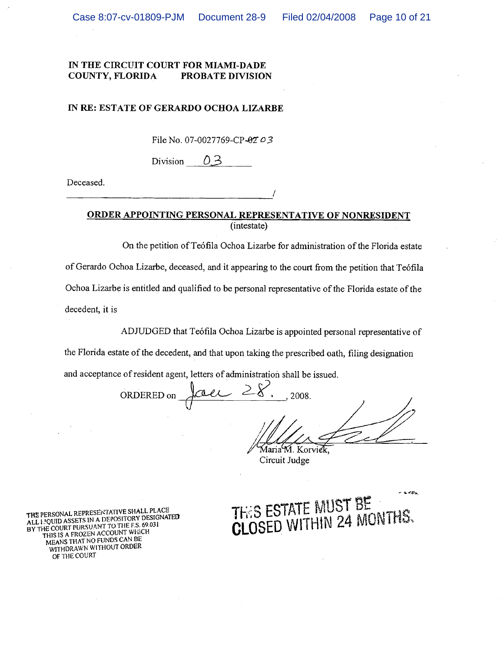#### IN RE: ESTATE OF GERARDO OCHOA LIZARBE

File No. 07-0027769-CP-02 03

Division 03

Deceased.

## ORDER APPOINTING PERSONAL REPRESENTATIVE OF NONRESIDENT (intestate)

On the petition of Teófila Ochoa Lizarbe for administration of the Florida estate of Gerardo Ochoa Lizarbe, deceased, and it appearing to the court from the petition that Teófila Ochoa Lizarbe is entitled and qualified to be personal representative of the Florida estate of the decedent, it is

ADJUDGED that Teófila Ochoa Lizarbe is appointed personal representative of

the Florida estate of the decedent, and that upon taking the prescribed oath, filing designation

and acceptance of resident agent, letters of administration shall be issued.

ORDERED on 2008.

Maria M. Korvick Circuit Judge



THE PERSONAL REPRESENTATIVE SHALL PLACE ALL I JOUID ASSETS IN A DEPOSITORY DESIGNATED BY THE COURT PURSUANT TO THE F.S. 69.031 THIS IS A FROZEN ACCOUNT WHICH MEANS THAT NO FUNDS CAN BE WITHDRAWN WITHOUT ORDER OF THE COURT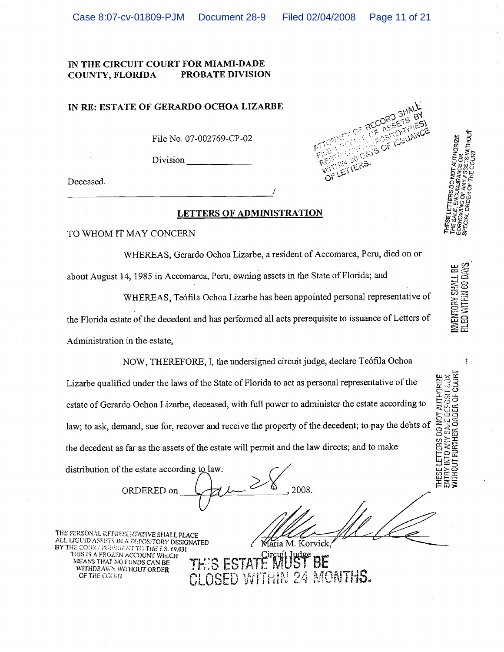#### IN THE CIRCUIT COURT FOR MIAMI-DADE PROBATE DIVISION COUNTY, FLORIDA

#### IN RE: ESTATE OF GERARDO OCHOA LIZARBE

File No. 07-002769-CP-02

Division

Deceased.

## LETTERS OF ADMINISTRATION

TO WHOM IT MAY CONCERN

WHEREAS, Gerardo Ochoa Lizarbe, a resident of Accomarca, Peru, died on or about August 14, 1985 in Accomarca, Peru, owning assets in the State of Florida; and

WHEREAS, Teófila Ochoa Lizarbe has been appointed personal representative of

Maria M. Korvick.

24 MONTHS.

the Florida estate of the decedent and has performed all acts prerequisite to issuance of Letters of Administration in the estate,

NOW, THEREFORE, I, the undersigned circuit judge, declare Teófila Ochoa Lizarbe qualified under the laws of the State of Florida to act as personal representative of the estate of Gerardo Ochoa Lizarbe, deceased, with full power to administer the estate according to law; to ask, demand, sue for, recover and receive the property of the decedent; to pay the debts of the decedent as far as the assets of the estate will permit and the law directs; and to make

distribution of the estate according to law.

2008 ORDERED on

THE PERSONAL REPRESENTATIVE SHALL PLACE ALL LIQUID ASSETS IN A DEPOSITORY DESIGNATED THE COURT PURSUANT TO THE F.S. 69.031 THIS IS A FROZEN ACCOUNT WHICH MEANS THAT NO FUNDS CAN BE WITHDRAWN WITHOUT ORDER OF THE COURT



INVENTORY SHALL BE<br>FILED WITHIN 60 DAYS

**I'S WITHOUT** 

PECIAL

DO NOT AUTHORIZE

 $\mathbf{1}$ 

THESE LETTERS DO NOT AUTHORIZE<br>ENTRY INTO ANY SARE DEPOSIT LOX<br>WITHOUT FURTHER ORDER OF COURT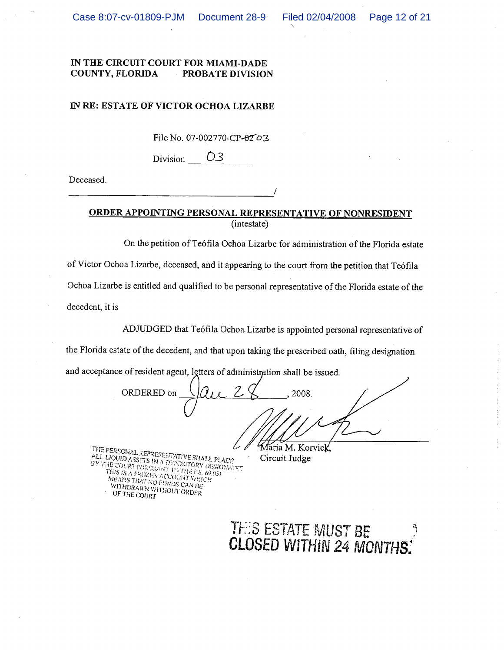#### IN RE: ESTATE OF VICTOR OCHOA LIZARBE

File No. 07-002770-CP-0203

Division O3

Deceased.

ORDER APPOINTING PERSONAL REPRESENTATIVE OF NONRESIDENT

(intestate)

On the petition of Teófila Ochoa Lizarbe for administration of the Florida estate of Victor Ochoa Lizarbe, deceased, and it appearing to the court from the petition that Teófila Ochoa Lizarbe is entitled and qualified to be personal representative of the Florida estate of the decedent, it is

ADJUDGED that Teófila Ochoa Lizarbe is appointed personal representative of

the Florida estate of the decedent, and that upon taking the prescribed oath, filing designation

and acceptance of resident agent, letters of administration shall be issued.

ORDERED on 2008. Maria M. Korvick,

THE PERSONAL REPRESENTATIVE SHALL PLACE ALL LIQUID ASSETS IN A DEPOSITORY DESIGNATION BY THE COURT PURSUANT IT THE ES. 69.031 THIS IS A FROZEN ACCOUNT WHICH MEANS THAT NO FUNDS CAN BE<br>WITHDRAWN WITHOUT GRDER OF THE COURT

Circuit Judge

THES ESTATE MUST BE<br>CLOSED WITHIN 24 MONTHS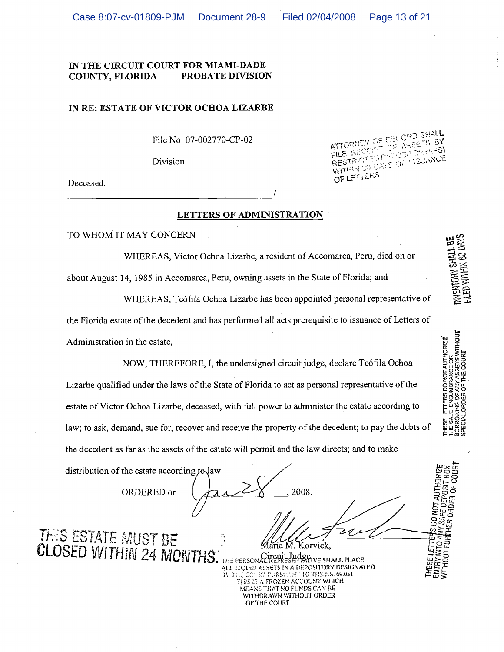#### IN RE: ESTATE OF VICTOR OCHOA LIZARBE

File No. 07-002770-CP-02

Division

Deceased.

#### ATTORNEY OF RECORD SH **Alle De Wacers** -3Y FILE RE **C.C.:LOSG LOCULANCE WITHIN SO DRIVE OF** STRK OF LETTERS.

INVENTORY SHALL BE<br>FILED WITHIN 60 DAYS

**MTHOUT** 

**INCE OR**<br>SSEIS W<br>E COURT

DO NOT AUTHORIZE

THE SAL<br>THE SAL

AUTI-

IS DO NOT SAFF Н£R

ORDER OF

**WITHOUT** 

#### LETTERS OF ADMINISTRATION

TO WHOM IT MAY CONCERN

WHEREAS, Victor Ochoa Lizarbe, a resident of Accomarca, Peru, died on or

about August 14, 1985 in Accomarca, Peru, owning assets in the State of Florida; and

WHEREAS, Teófila Ochoa Lizarbe has been appointed personal representative of

the Florida estate of the decedent and has performed all acts prerequisite to issuance of Letters of Administration in the estate,

NOW, THEREFORE, I, the undersigned circuit judge, declare Teófila Ochoa Lizarbe qualified under the laws of the State of Florida to act as personal representative of the estate of Victor Ochoa Lizarbe, deceased, with full power to administer the estate according to law; to ask, demand, sue for, recover and receive the property of the decedent; to pay the debts of the decedent as far as the assets of the estate will permit and the law directs; and to make

distribution of the estate according to law.

2008 ORDERED on **THIS ESTATE MUST BE** ria M. Korvick. **CLOSED WITHIN 24 MONTH** 

Judgewe SHALL PLACE THE PERSONAL FIELLY ALL LIQUID ASSETS IN A DEPOSITORY DESIGNATED COURT PURSUANT TO THE F.S. 69.031 THIS IS A FROZEN ACCOUNT WHICH MEANS THAT NO FUNDS CAN BE WITHDRAWN WITHOUT ORDER OF THE COURT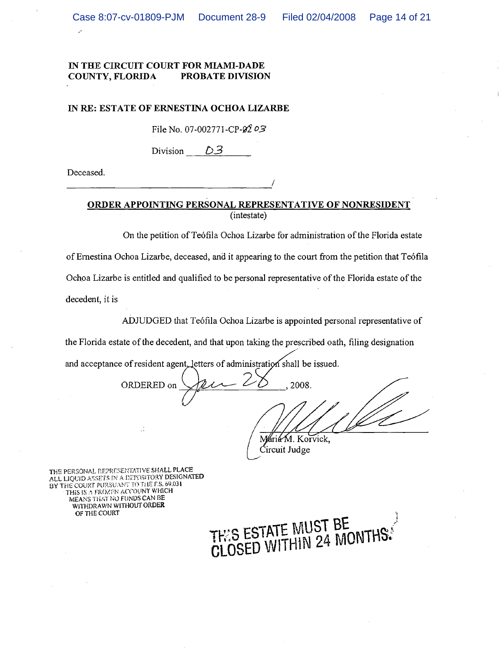#### IN RE: ESTATE OF ERNESTINA OCHOA LIZARBE

File No. 07-002771-CP- $\cancel{02}$ 03

Division  $D_3$ 

Deceased.

## ORDER APPOINTING PERSONAL REPRESENTATIVE OF NONRESIDENT (intestate)

On the petition of Teófila Ochoa Lizarbe for administration of the Florida estate of Ernestina Ochoa Lizarbe, deceased, and it appearing to the court from the petition that Teófila Ochoa Lizarbe is entitled and qualified to be personal representative of the Florida estate of the

decedent, it is

ADJUDGED that Teófila Ochoa Lizarbe is appointed personal representative of

the Florida estate of the decedent, and that upon taking the prescribed oath, filing designation

and acceptance of resident agent, letters of administration shall be issued.

2008. ORDERED on  $\mathbf{r}$ 

Maria M. Korvick, Circuit Judge

THE PERSONAL REPRESENTATIVE SHALL PLACE ALL LIQUID ASSETS IN A DEPOSITORY DESIGNATED BY THE COURT PURSUANT TO THE F.S. 69.031 THIS IS A FROZEN ACCOUNT WHICH MEANS THAT NO FUNDS CAN BE WITHDRAWN WITHOUT ORDER OF THE COURT

THIS ESTATE MUST BE<br>CLOSED WITHIN 24 MONTH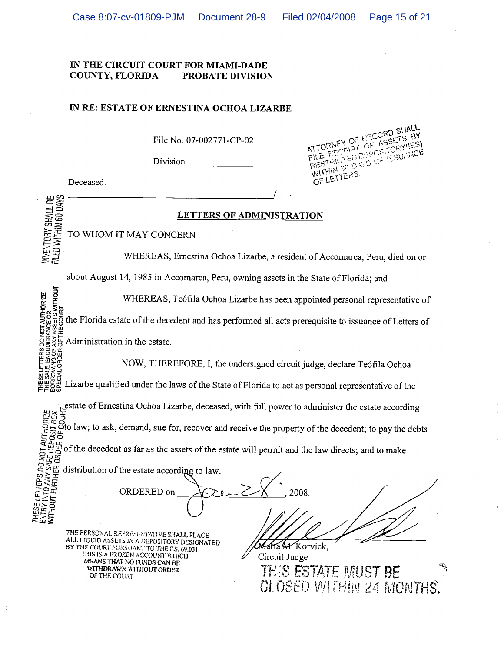### IN RE: ESTATE OF ERNESTINA OCHOA LIZARBE

File No. 07-002771-CP-02

Division

Deceased.

INVENTORY SHALL BE<br>FILED WITHIN 60 DAYS

**WITHOUT** 

OF RECORD SHALL FIFT OF ASSETS BY ATTORNE **SPORTORY/IES)** DAYS OF ISSUANCE  $C_{\rm C}$ FILE **WITHIN SO** OF LETTERS.

LETTERS OF ADMINISTRATION

TO WHOM IT MAY CONCERN

WHEREAS, Ernestina Ochoa Lizarbe, a resident of Accomarca, Peru, died on or

about August 14, 1985 in Accomarca, Peru, owning assets in the State of Florida; and

ETTERS DO NOT AUTHORIZE<br>E. ENCUMBRANCE OR<br>VING OF ANY ASSETS WITHOUT<br>ORDER OF THE COURT WHEREAS, Teófila Ochoa Lizarbe has been appointed personal representative of the Florida estate of the decedent and has performed all acts prerequisite to issuance of Letters of Administration in the estate.

NOW, THEREFORE, I, the undersigned circuit judge, declare Teófila Ochoa

THESE LETT<br>THE SALE E<br>BORROWING<br>BORROWING Lizarbe qualified under the laws of the State of Florida to act as personal representative of the

THIS IS A FROZEN ACCOUNT WHICH

MEANS THAT NO FUNDS CAN BE

WITHDRAWN WITHOUT ORDER

OF THE COURT

testate of Ernestina Ochoa Lizarbe, deceased, with full power to administer the estate according<br>
significant control and the state of the decedent; to pay the debts<br>
significant control and the decedent as far as the ass THE PERSONAL REPRESENTATIVE SHALL PLACE ALL LIQUID ASSETS IN A DEPOSITORY DESIGNATED THE COURT PURSUANT TO THE F.S. 69.031

María M. Korvick. Circuit Judge **THIS ESTATE MUST** CLOSED WITHIN 24 MONTHS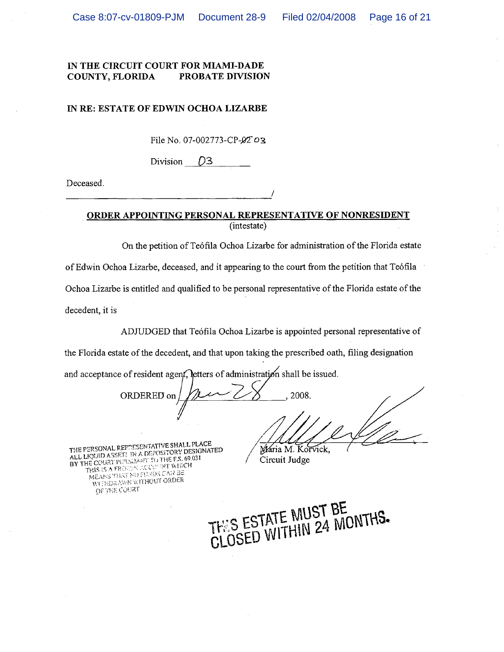#### IN RE: ESTATE OF EDWIN OCHOA LIZARBE

File No. 07-002773-CP-02 03

Division D<sub>3</sub>

Deceased.

## ORDER APPOINTING PERSONAL REPRESENTATIVE OF NONRESIDENT (intestate)

On the petition of Teófila Ochoa Lizarbe for administration of the Florida estate of Edwin Ochoa Lizarbe, deceased, and it appearing to the court from the petition that Teófila Ochoa Lizarbe is entitled and qualified to be personal representative of the Florida estate of the decedent, it is

ADJUDGED that Teófila Ochoa Lizarbe is appointed personal representative of

the Florida estate of the decedent, and that upon taking the prescribed oath, filing designation

and acceptance of resident agent, letters of administration shall be issued.

ORDERED on 2008.

THE PERSONAL REPAESENTATIVE SHALL PLACE ALL LIQUID ASSET: IN A DEPOSITORY DESIGNATED BY THE COURT PUNSUART TO THE F.S. 69.031 THIS IS A FROM A LOCATIVE WILLOW MEANS THAT NO FUNDS CAN BE WITHORAWN WITHOUT ORDER OF THE COURT

Mária M. Korvick, Circuit Judge

THIS ESTATE MUST BE<br>CLOSED WITHIN 24 MONTHS.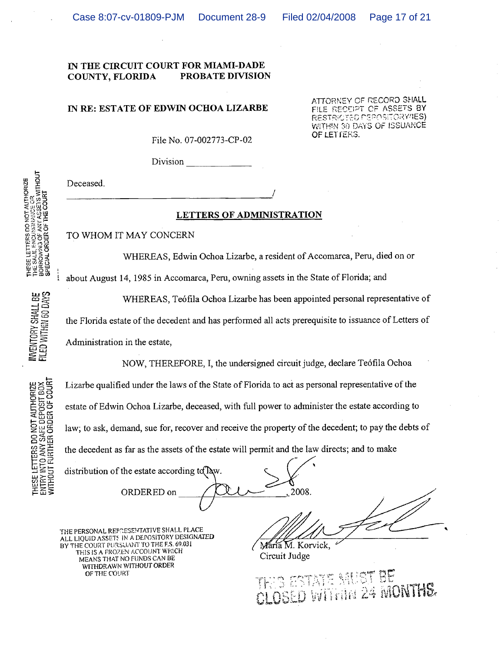#### Page 17 of 21

#### IN THE CIRCUIT COURT FOR MIAMI-DADE COUNTY, FLORIDA **PROBATE DIVISION**

#### IN RE: ESTATE OF EDWIN OCHOA LIZARBE

ATTORNEY OF RECORD SHALL FILE RECEIPT OF ASSETS BY RESTRICTED PEPOSITORY/IES) WITHIN 30 DAYS OF ISSUANCE OF LET JERS.

File No. 07-002773-CP-02

Division

Deceased.

## LETTERS OF ADMINISTRATION

TO WHOM IT MAY CONCERN

WHEREAS, Edwin Ochoa Lizarbe, a resident of Accomarca, Peru, died on or

about August 14, 1985 in Accomarca, Peru, owning assets in the State of Florida; and

WHEREAS, Teófila Ochoa Lizarbe has been appointed personal representative of

the Florida estate of the decedent and has performed all acts prerequisite to issuance of Letters of Administration in the estate,

NOW, THEREFORE, I, the undersigned circuit judge, declare Teófila Ochoa

Lizarbe qualified under the laws of the State of Florida to act as personal representative of the estate of Edwin Ochoa Lizarbe, deceased, with full power to administer the estate according to law; to ask, demand, sue for, recover and receive the property of the decedent; to pay the debts of the decedent as far as the assets of the estate will permit and the law directs; and to make

distribution of the estate according to Taw.

2008 ORDERED on

THE PERSONAL REPRESENTATIVE SHALL PLACE ALL LIQUID ASSETS IN A DEPOSITORY DESIGNATED BY THE COURT PURSUANT TO THE F.S. 69.031 THIS IS A FROZEN ACCOUNT WEICH MEANS THAT NO FUNDS CAN BE WITHDRAWN WITHOUT ORDER OF THE COURT

Maria M. Korvick. Circuit Judge

THIS ESTATE MUST BE CLOSED WITHIN 24 MONTHS

THESE LETTERS DO NOT AUTHORIZE<br>THE SALE, ENCUSISMISCE OR<br>BORROWNO OF ANY ASSETS WITHOUT<br>SPECIAL ORDER OF THE COURT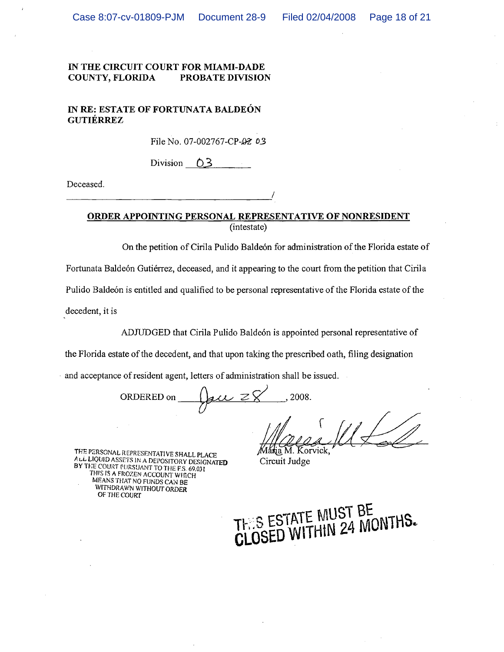## IN RE: ESTATE OF FORTUNATA BALDEÓN **GUTIÉRREZ**

File No. 07-002767-CP-02 03

Division  $0.3$ 

Deceased.

ORDER APPOINTING PERSONAL REPRESENTATIVE OF NONRESIDENT

(intestate)

On the petition of Cirila Pulido Baldeón for administration of the Florida estate of

Fortunata Baldeón Gutiérrez, deceased, and it appearing to the court from the petition that Cirila

Pulido Baldeón is entitled and qualified to be personal representative of the Florida estate of the

decedent, it is

ADJUDGED that Cirila Pulido Baldeón is appointed personal representative of

the Florida estate of the decedent, and that upon taking the prescribed oath, filing designation

and acceptance of resident agent, letters of administration shall be issued.

gu  $z\bar{g}$ 2008. ORDERED on

THE PERSONAL REPRESENTATIVE SHALL PLACE ALL LIQUID ASSETS IN A DEPOSITORY DESIGNATED BY THE COURT PURSUANT TO THE F.S. 69.031 THIS IS A FROZEN ACCOUNT WHICH MEANS THAT NO FUNDS CAN BE WITHDRAWN WITHOUT ORDER OF THE COURT

Korvick. Circuit Judge

THIS ESTATE MUST BE<br>CLOSED WITHIN 24 MONTHS.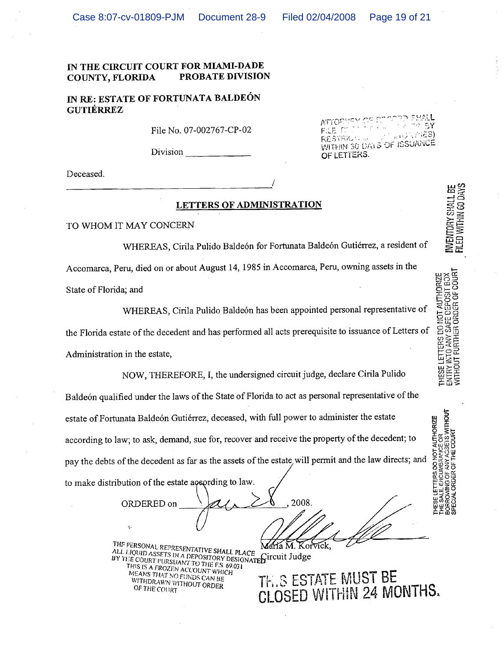ATIOF

FILE O

**RESTRIK** 

OF LETTERS.

Page 19 of 21

 $\approx 5$ Y

**INVENTORY SHALL BE**<br>FILED WITHIN 60 DAYS

THESE LETTERS DO NOT AUTHORIZE<br>ENTRY INTO ANY SAFE DEPOSIT BOX<br>WITHOUT FURTHER ORDER OF COURT

**ANCE OR<br>AGSETS WITHOUT** 

**AUTHORIZE** 

言は、公径8)

WITHIN 30 DAYS OF ISSUANCE

#### IN THE CIRCUIT COURT FOR MIAMI-DADE PROBATE DIVISION COUNTY, FLORIDA

## IN RE: ESTATE OF FORTUNATA BALDEÓN **GUTIÉRREZ**

File No. 07-002767-CP-02

Division

Deceased.

#### LETTERS OF ADMINISTRATION

TO WHOM IT MAY CONCERN

WHEREAS, Cirila Pulido Baldeón for Fortunata Baldeón Gutiérrez, a resident of Accomarca, Peru, died on or about August 14, 1985 in Accomarca, Peru, owning assets in the State of Florida; and

WHEREAS, Cirila Pulido Baldeón has been appointed personal representative of the Florida estate of the decedent and has performed all acts prerequisite to issuance of Letters of Administration in the estate,

NOW, THEREFORE, I, the undersigned circuit judge, declare Cirila Pulido Baldeón qualified under the laws of the State of Florida to act as personal representative of the estate of Fortunata Baldeón Gutiérrez, deceased, with full power to administer the estate according to law; to ask, demand, sue for, recover and receive the property of the decedent; to pay the debts of the decedent as far as the assets of the estate will permit and the law directs; and to make distribution of the estate according to law.

2008. ORDERED on Korvick. María M.

THE PERSONAL REPRESENTATIVE SHALL PLACE ALL LIQUID ASSETS IN A DEPOSITORY DESIGNATE FICUIT Judge BY THE COURT PURSUANT TO THE F.S. 69.031 THIS IS A FROZEN ACCOUNT WHICH MEANS THAT NO FUNDS CAN BE WITHDRAWN WITHOUT ORDER OF THE COURT

THIS ESTATE MUST BE CLOSED WITHIN 24 MONTHS.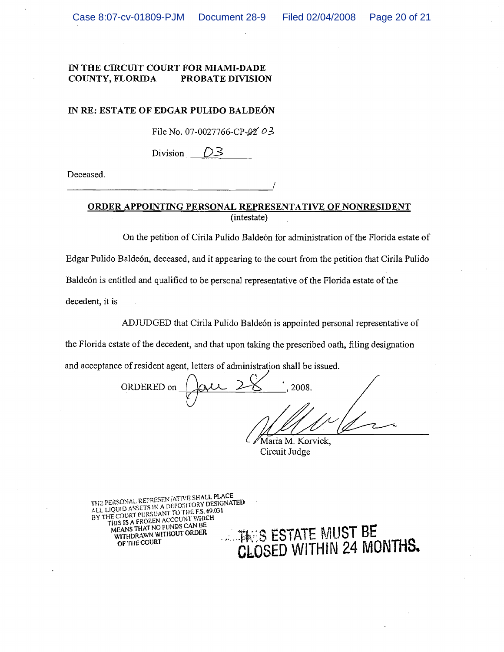## IN RE: ESTATE OF EDGAR PULIDO BALDEÓN

File No. 07-0027766-CP- $92'$  03

D3 Division

Deceased.

## ORDER APPOINTING PERSONAL REPRESENTATIVE OF NONRESIDENT (intestate)

On the petition of Cirila Pulido Baldeón for administration of the Florida estate of Edgar Pulido Baldeón, deceased, and it appearing to the court from the petition that Cirila Pulido Baldeón is entitled and qualified to be personal representative of the Florida estate of the decedent, it is

ADJUDGED that Cirila Pulido Baldeón is appointed personal representative of

the Florida estate of the decedent, and that upon taking the prescribed oath, filing designation

and acceptance of resident agent, letters of administration shall be issued.

ORDERED on 2008. Maria M. Korvick,

Circuit Judge

THE PERSONAL REFRESENTATIVE SHALL PLACE ALL LIQUID ASSETS IN A DEPOSITORY DESIGNATED BY THE COURT PURSUANT TO THE F.S. 69.031 THIS IS A FROZEN ACCOUNT WHICH MEANS THAT NO FUNDS CAN BE THES ESTATE MUST BE CLOSED WITHIN 24 MONTHS. WITHDRAWN WITHOUT ORDER OF THE COURT